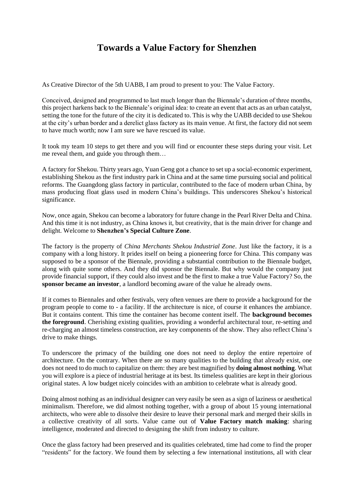## **Towards a Value Factory for Shenzhen**

As Creative Director of the 5th UABB, I am proud to present to you: The Value Factory.

Conceived, designed and programmed to last much longer than the Biennale's duration of three months, this project harkens back to the Biennale's original idea: to create an event that acts as an urban catalyst, setting the tone for the future of the city it is dedicated to. This is why the UABB decided to use Shekou at the city's urban border and a derelict glass factory as its main venue. At first, the factory did not seem to have much worth; now I am sure we have rescued its value.

It took my team 10 steps to get there and you will find or encounter these steps during your visit. Let me reveal them, and guide you through them…

A factory for Shekou. Thirty years ago, Yuan Geng got a chance to set up a social-economic experiment, establishing Shekou as the first industry park in China and at the same time pursuing social and political reforms. The Guangdong glass factory in particular, contributed to the face of modern urban China, by mass producing float glass used in modern China's buildings. This underscores Shekou's historical significance.

Now, once again, Shekou can become a laboratory for future change in the Pearl River Delta and China. And this time it is not industry, as China knows it, but creativity, that is the main driver for change and delight. Welcome to **Shenzhen's Special Culture Zone**.

The factory is the property of *China Merchants Shekou Industrial Zone*. Just like the factory, it is a company with a long history. It prides itself on being a pioneering force for China. This company was supposed to be a sponsor of the Biennale, providing a substantial contribution to the Biennale budget, along with quite some others. And they did sponsor the Biennale. But why would the company just provide financial support, if they could also invest and be the first to make a true Value Factory? So, the **sponsor became an investor**, a landlord becoming aware of the value he already owns.

If it comes to Biennales and other festivals, very often venues are there to provide a background for the program people to come to - a facility. If the architecture is nice, of course it enhances the ambiance. But it contains content. This time the container has become content itself. The **background becomes the foreground**. Cherishing existing qualities, providing a wonderful architectural tour, re-setting and re-charging an almost timeless construction, are key components of the show. They also reflect China's drive to make things.

To underscore the primacy of the building one does not need to deploy the entire repertoire of architecture. On the contrary. When there are so many qualities to the building that already exist, one does not need to do much to capitalize on them: they are best magnified by **doing almost nothing**. What you will explore is a piece of industrial heritage at its best. Its timeless qualities are kept in their glorious original states. A low budget nicely coincides with an ambition to celebrate what is already good.

Doing almost nothing as an individual designer can very easily be seen as a sign of laziness or aesthetical minimalism. Therefore, we did almost nothing together, with a group of about 15 young international architects, who were able to dissolve their desire to leave their personal mark and merged their skills in a collective creativity of all sorts. Value came out of **Value Factory match making**: sharing intelligence, moderated and directed to designing the shift from industry to culture.

Once the glass factory had been preserved and its qualities celebrated, time had come to find the proper "residents" for the factory. We found them by selecting a few international institutions, all with clear